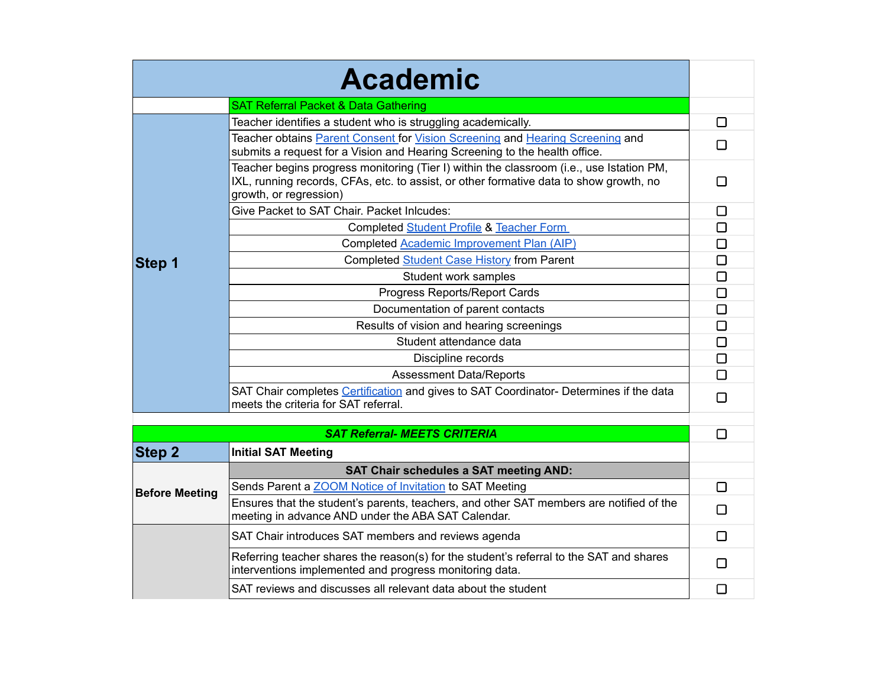|                       | <b>Academic</b>                                                                                                                                                                                              |                          |
|-----------------------|--------------------------------------------------------------------------------------------------------------------------------------------------------------------------------------------------------------|--------------------------|
|                       | <b>SAT Referral Packet &amp; Data Gathering</b>                                                                                                                                                              |                          |
|                       | Teacher identifies a student who is struggling academically.                                                                                                                                                 | □                        |
|                       | Teacher obtains Parent Consent for Vision Screening and Hearing Screening and<br>submits a request for a Vision and Hearing Screening to the health office.                                                  | l 1                      |
|                       | Teacher begins progress monitoring (Tier I) within the classroom (i.e., use Istation PM,<br>IXL, running records, CFAs, etc. to assist, or other formative data to show growth, no<br>growth, or regression) | l 1                      |
|                       | Give Packet to SAT Chair. Packet Inlcudes:                                                                                                                                                                   | □                        |
|                       | Completed Student Profile & Teacher Form                                                                                                                                                                     | □                        |
|                       | Completed Academic Improvement Plan (AIP)                                                                                                                                                                    | □                        |
| Step 1                | Completed Student Case History from Parent                                                                                                                                                                   | □                        |
|                       | Student work samples                                                                                                                                                                                         | $\Box$                   |
|                       | Progress Reports/Report Cards                                                                                                                                                                                | □                        |
|                       | Documentation of parent contacts                                                                                                                                                                             | □                        |
|                       | Results of vision and hearing screenings                                                                                                                                                                     | □                        |
|                       | Student attendance data                                                                                                                                                                                      | □                        |
|                       | Discipline records                                                                                                                                                                                           | □                        |
|                       | <b>Assessment Data/Reports</b>                                                                                                                                                                               | □                        |
|                       | SAT Chair completes Certification and gives to SAT Coordinator- Determines if the data<br>meets the criteria for SAT referral.                                                                               | П                        |
|                       |                                                                                                                                                                                                              |                          |
|                       | <b>SAT Referral- MEETS CRITERIA</b>                                                                                                                                                                          | □                        |
| Step 2                | <b>Initial SAT Meeting</b>                                                                                                                                                                                   |                          |
| <b>Before Meeting</b> | <b>SAT Chair schedules a SAT meeting AND:</b>                                                                                                                                                                |                          |
|                       | Sends Parent a <b>ZOOM</b> Notice of Invitation to SAT Meeting                                                                                                                                               | □                        |
|                       | Ensures that the student's parents, teachers, and other SAT members are notified of the<br>meeting in advance AND under the ABA SAT Calendar.                                                                | $\Box$                   |
|                       | SAT Chair introduces SAT members and reviews agenda                                                                                                                                                          | П                        |
|                       | Referring teacher shares the reason(s) for the student's referral to the SAT and shares<br>interventions implemented and progress monitoring data.                                                           | l 1                      |
|                       | SAT reviews and discusses all relevant data about the student                                                                                                                                                | $\overline{\phantom{a}}$ |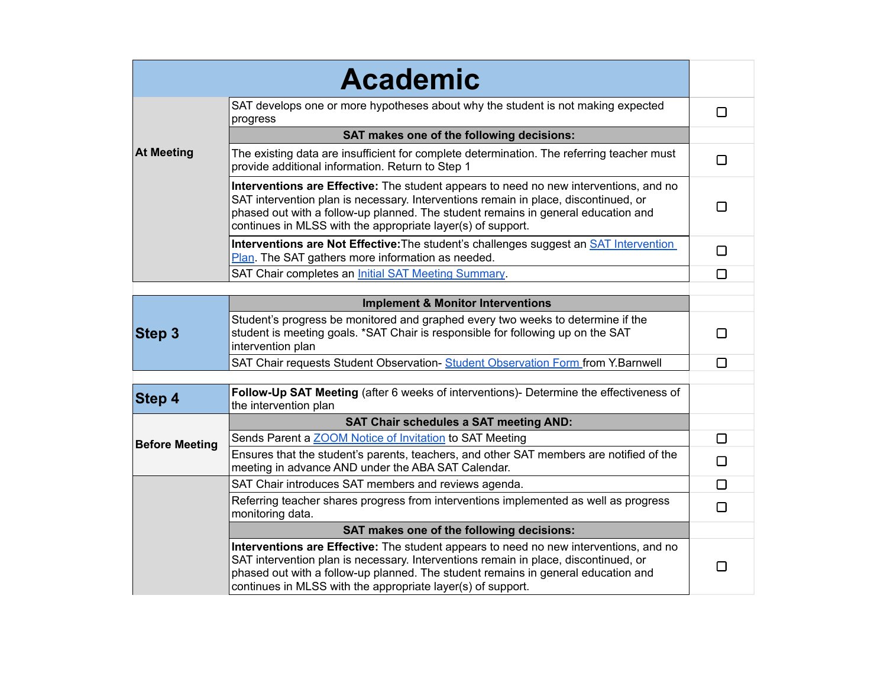| <b>Academic</b>       |                                                                                                                                                                                                                                                                                                                                  |        |
|-----------------------|----------------------------------------------------------------------------------------------------------------------------------------------------------------------------------------------------------------------------------------------------------------------------------------------------------------------------------|--------|
| <b>At Meeting</b>     | SAT develops one or more hypotheses about why the student is not making expected<br>progress                                                                                                                                                                                                                                     | □      |
|                       | SAT makes one of the following decisions:                                                                                                                                                                                                                                                                                        |        |
|                       | The existing data are insufficient for complete determination. The referring teacher must<br>provide additional information. Return to Step 1                                                                                                                                                                                    | □      |
|                       | Interventions are Effective: The student appears to need no new interventions, and no<br>SAT intervention plan is necessary. Interventions remain in place, discontinued, or<br>phased out with a follow-up planned. The student remains in general education and<br>continues in MLSS with the appropriate layer(s) of support. | □      |
|                       | Interventions are Not Effective: The student's challenges suggest an <b>SAT</b> Intervention<br>Plan. The SAT gathers more information as needed.                                                                                                                                                                                | $\Box$ |
|                       | SAT Chair completes an <i>Initial SAT Meeting Summary</i> .                                                                                                                                                                                                                                                                      | $\Box$ |
|                       |                                                                                                                                                                                                                                                                                                                                  |        |
|                       | <b>Implement &amp; Monitor Interventions</b>                                                                                                                                                                                                                                                                                     |        |
| <b>Step 3</b>         | Student's progress be monitored and graphed every two weeks to determine if the<br>student is meeting goals. *SAT Chair is responsible for following up on the SAT<br>intervention plan                                                                                                                                          | □      |
|                       | SAT Chair requests Student Observation- Student Observation Form from Y.Barnwell                                                                                                                                                                                                                                                 | □      |
| Step 4                | Follow-Up SAT Meeting (after 6 weeks of interventions)- Determine the effectiveness of<br>the intervention plan                                                                                                                                                                                                                  |        |
|                       | <b>SAT Chair schedules a SAT meeting AND:</b>                                                                                                                                                                                                                                                                                    |        |
| <b>Before Meeting</b> | Sends Parent a <b>ZOOM</b> Notice of Invitation to SAT Meeting                                                                                                                                                                                                                                                                   | $\Box$ |
|                       | Ensures that the student's parents, teachers, and other SAT members are notified of the<br>meeting in advance AND under the ABA SAT Calendar.                                                                                                                                                                                    | $\Box$ |
|                       | SAT Chair introduces SAT members and reviews agenda.                                                                                                                                                                                                                                                                             | $\Box$ |
|                       | Referring teacher shares progress from interventions implemented as well as progress<br>monitoring data.                                                                                                                                                                                                                         | $\Box$ |
|                       | SAT makes one of the following decisions:                                                                                                                                                                                                                                                                                        |        |
|                       | Interventions are Effective: The student appears to need no new interventions, and no<br>SAT intervention plan is necessary. Interventions remain in place, discontinued, or<br>phased out with a follow-up planned. The student remains in general education and<br>continues in MLSS with the appropriate layer(s) of support. | $\Box$ |